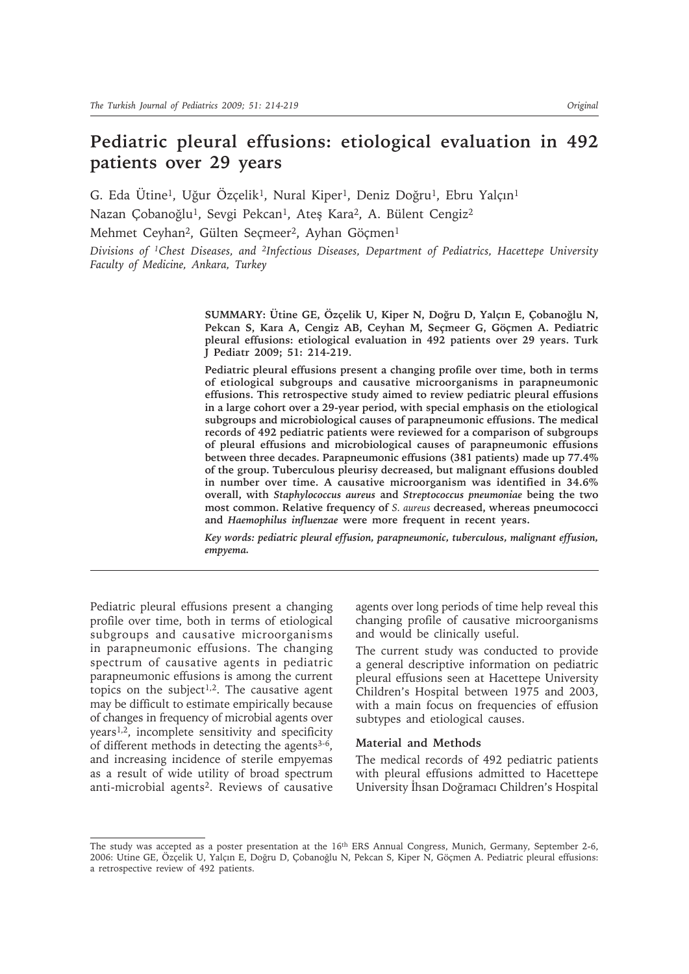# **Pediatric pleural effusions: etiological evaluation in 492 patients over 29 years**

G. Eda Ütine<sup>1</sup>, Uğur Özçelik<sup>1</sup>, Nural Kiper<sup>1</sup>, Deniz Doğru<sup>1</sup>, Ebru Yalçın<sup>1</sup> Nazan Çobanoğlu<sup>1</sup>, Sevgi Pekcan<sup>1</sup>, Ateş Kara<sup>2</sup>, A. Bülent Cengiz<sup>2</sup>

Mehmet Ceyhan<sup>2</sup>, Gülten Seçmeer<sup>2</sup>, Ayhan Göçmen<sup>1</sup>

*Divisions of 1Chest Diseases, and 2Infectious Diseases, Department of Pediatrics, Hacettepe University Faculty of Medicine, Ankara, Turkey*

> **SUMMARY: Ütine GE, Özçelik U, Kiper N, Doğru D, Yalçın E, Çobanoğlu N, Pekcan S, Kara A, Cengiz AB, Ceyhan M, Seçmeer G, Göçmen A. Pediatric pleural effusions: etiological evaluation in 492 patients over 29 years. Turk J Pediatr 2009; 51: 214-219.**

> **Pediatric pleural effusions present a changing profile over time, both in terms of etiological subgroups and causative microorganisms in parapneumonic effusions. This retrospective study aimed to review pediatric pleural effusions in a large cohort over a 29-year period, with special emphasis on the etiological subgroups and microbiological causes of parapneumonic effusions. The medical records of 492 pediatric patients were reviewed for a comparison of subgroups of pleural effusions and microbiological causes of parapneumonic effusions between three decades. Parapneumonic effusions (381 patients) made up 77.4% of the group. Tuberculous pleurisy decreased, but malignant effusions doubled in number over time. A causative microorganism was identified in 34.6% overall, with** *Staphylococcus aureus* **and** *Streptococcus pneumoniae* **being the two most common. Relative frequency of** *S. aureus* **decreased, whereas pneumococci and** *Haemophilus influenzae* **were more frequent in recent years.**

> *Key words: pediatric pleural effusion, parapneumonic, tuberculous, malignant effusion, empyema.*

Pediatric pleural effusions present a changing profile over time, both in terms of etiological subgroups and causative microorganisms in parapneumonic effusions. The changing spectrum of causative agents in pediatric parapneumonic effusions is among the current topics on the subject<sup>1,2</sup>. The causative agent may be difficult to estimate empirically because of changes in frequency of microbial agents over years1,2, incomplete sensitivity and specificity of different methods in detecting the agents<sup>3-6</sup>, and increasing incidence of sterile empyemas as a result of wide utility of broad spectrum anti-microbial agents2. Reviews of causative

agents over long periods of time help reveal this changing profile of causative microorganisms and would be clinically useful.

The current study was conducted to provide a general descriptive information on pediatric pleural effusions seen at Hacettepe University Children's Hospital between 1975 and 2003, with a main focus on frequencies of effusion subtypes and etiological causes.

### **Material and Methods**

The medical records of 492 pediatric patients with pleural effusions admitted to Hacettepe University İhsan Doğramacı Children's Hospital

The study was accepted as a poster presentation at the 16<sup>th</sup> ERS Annual Congress, Munich, Germany, September 2-6, 2006: Utine GE, Özçelik U, Yalçın E, Doğru D, Çobanoğlu N, Pekcan S, Kiper N, Göçmen A. Pediatric pleural effusions: a retrospective review of 492 patients.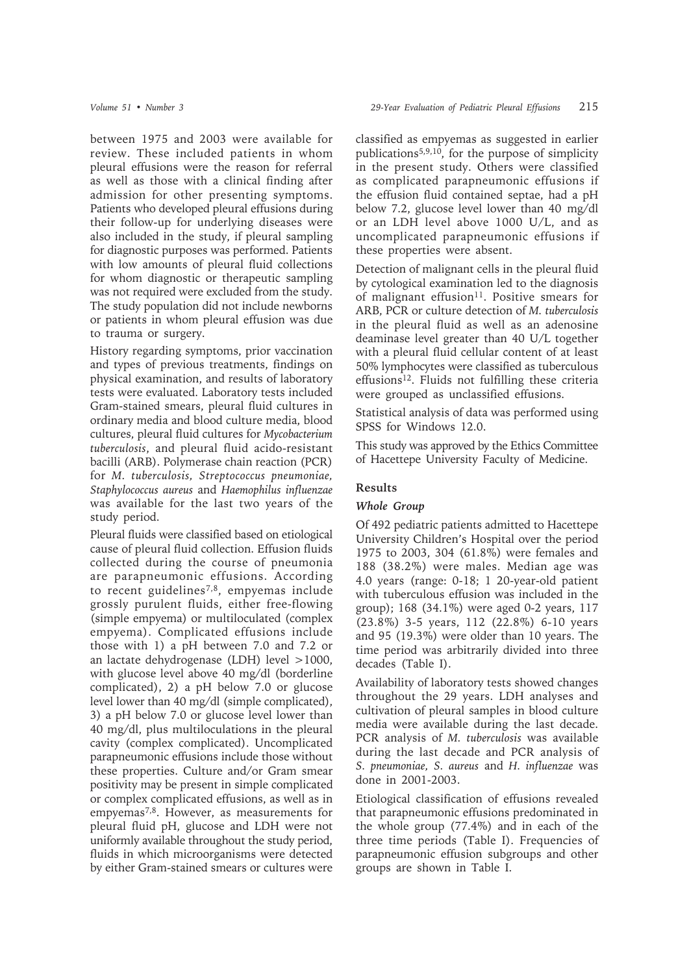between 1975 and 2003 were available for review. These included patients in whom pleural effusions were the reason for referral as well as those with a clinical finding after admission for other presenting symptoms. Patients who developed pleural effusions during their follow-up for underlying diseases were also included in the study, if pleural sampling for diagnostic purposes was performed. Patients with low amounts of pleural fluid collections for whom diagnostic or therapeutic sampling was not required were excluded from the study. The study population did not include newborns or patients in whom pleural effusion was due to trauma or surgery.

History regarding symptoms, prior vaccination and types of previous treatments, findings on physical examination, and results of laboratory tests were evaluated. Laboratory tests included Gram-stained smears, pleural fluid cultures in ordinary media and blood culture media, blood cultures, pleural fluid cultures for *Mycobacterium tuberculosis*, and pleural fluid acido-resistant bacilli (ARB). Polymerase chain reaction (PCR) for *M. tuberculosis, Streptococcus pneumoniae, Staphylococcus aureus* and *Haemophilus influenzae*  was available for the last two years of the study period.

Pleural fluids were classified based on etiological cause of pleural fluid collection. Effusion fluids collected during the course of pneumonia are parapneumonic effusions. According to recent guidelines7,8, empyemas include grossly purulent fluids, either free-flowing (simple empyema) or multiloculated (complex empyema). Complicated effusions include those with 1) a pH between 7.0 and 7.2 or an lactate dehydrogenase (LDH) level >1000, with glucose level above 40 mg/dl (borderline complicated), 2) a pH below 7.0 or glucose level lower than 40 mg/dl (simple complicated), 3) a pH below 7.0 or glucose level lower than 40 mg/dl, plus multiloculations in the pleural cavity (complex complicated). Uncomplicated parapneumonic effusions include those without these properties. Culture and/or Gram smear positivity may be present in simple complicated or complex complicated effusions, as well as in empyemas<sup>7,8</sup>. However, as measurements for pleural fluid pH, glucose and LDH were not uniformly available throughout the study period, fluids in which microorganisms were detected by either Gram-stained smears or cultures were

classified as empyemas as suggested in earlier publications5,9,10, for the purpose of simplicity in the present study. Others were classified as complicated parapneumonic effusions if the effusion fluid contained septae, had a pH below 7.2, glucose level lower than 40 mg/dl or an LDH level above 1000 U/L, and as uncomplicated parapneumonic effusions if these properties were absent.

Detection of malignant cells in the pleural fluid by cytological examination led to the diagnosis of malignant effusion<sup>11</sup>. Positive smears for ARB, PCR or culture detection of *M. tuberculosis* in the pleural fluid as well as an adenosine deaminase level greater than 40 U/L together with a pleural fluid cellular content of at least 50% lymphocytes were classified as tuberculous effusions<sup>12</sup>. Fluids not fulfilling these criteria were grouped as unclassified effusions.

Statistical analysis of data was performed using SPSS for Windows 12.0.

This study was approved by the Ethics Committee of Hacettepe University Faculty of Medicine.

# **Results**

## *Whole Group*

Of 492 pediatric patients admitted to Hacettepe University Children's Hospital over the period 1975 to 2003, 304 (61.8%) were females and 188 (38.2%) were males. Median age was 4.0 years (range: 0-18; 1 20-year-old patient with tuberculous effusion was included in the group); 168 (34.1%) were aged 0-2 years, 117 (23.8%) 3-5 years, 112 (22.8%) 6-10 years and 95 (19.3%) were older than 10 years. The time period was arbitrarily divided into three decades (Table I).

Availability of laboratory tests showed changes throughout the 29 years. LDH analyses and cultivation of pleural samples in blood culture media were available during the last decade. PCR analysis of *M. tuberculosis* was available during the last decade and PCR analysis of *S. pneumoniae, S. aureus* and *H. influenzae* was done in 2001-2003.

Etiological classification of effusions revealed that parapneumonic effusions predominated in the whole group (77.4%) and in each of the three time periods (Table I). Frequencies of parapneumonic effusion subgroups and other groups are shown in Table I.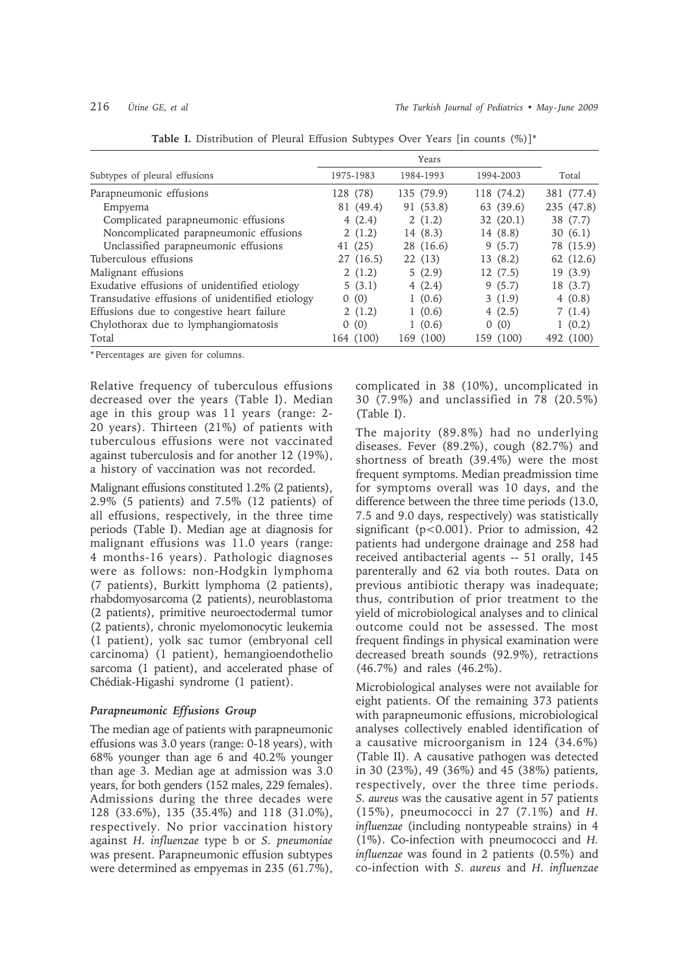|                                                 |           | Years      |            |            |
|-------------------------------------------------|-----------|------------|------------|------------|
| Subtypes of pleural effusions                   | 1975-1983 | 1984-1993  | 1994-2003  | Total      |
| Parapneumonic effusions                         | 128 (78)  | 135 (79.9) | 118 (74.2) | 381 (77.4) |
| Empyema                                         | 81 (49.4) | 91 (53.8)  | 63 (39.6)  | 235 (47.8) |
| Complicated parapneumonic effusions             | 4(2.4)    | 2(1.2)     | 32(20.1)   | 38 (7.7)   |
| Noncomplicated parapneumonic effusions          | 2(1.2)    | 14(8.3)    | 14 (8.8)   | 30(6.1)    |
| Unclassified parapneumonic effusions            | 41 (25)   | 28 (16.6)  | 9(5.7)     | 78 (15.9)  |
| Tuberculous effusions                           | 27 (16.5) | 22(13)     | 13 (8.2)   | 62 (12.6)  |
| Malignant effusions                             | 2(1.2)    | 5(2.9)     | 12(7.5)    | 19(3.9)    |
| Exudative effusions of unidentified etiology    | 5(3.1)    | 4(2.4)     | 9(5.7)     | 18 (3.7)   |
| Transudative effusions of unidentified etiology | 0(0)      | 1(0.6)     | 3(1.9)     | 4(0.8)     |
| Effusions due to congestive heart failure       | 2(1.2)    | 1(0.6)     | 4(2.5)     | 7(1.4)     |
| Chylothorax due to lymphangiomatosis            | 0(0)      | 1(0.6)     | 0(0)       | 1(0.2)     |
| Total                                           | 164 (100) | 169 (100)  | 159 (100)  | 492 (100)  |

**Table I.** Distribution of Pleural Effusion Subtypes Over Years [in counts (%)]\*

\* Percentages are given for columns.

Relative frequency of tuberculous effusions decreased over the years (Table I). Median age in this group was 11 years (range: 2- 20 years). Thirteen (21%) of patients with tuberculous effusions were not vaccinated against tuberculosis and for another 12 (19%), a history of vaccination was not recorded.

Malignant effusions constituted 1.2% (2 patients), 2.9% (5 patients) and 7.5% (12 patients) of all effusions, respectively, in the three time periods (Table I). Median age at diagnosis for malignant effusions was 11.0 years (range: 4 months-16 years). Pathologic diagnoses were as follows: non-Hodgkin lymphoma (7 patients), Burkitt lymphoma (2 patients), rhabdomyosarcoma (2 patients), neuroblastoma (2 patients), primitive neuroectodermal tumor (2 patients), chronic myelomonocytic leukemia (1 patient), yolk sac tumor (embryonal cell carcinoma) (1 patient), hemangioendothelio sarcoma (1 patient), and accelerated phase of Chédiak-Higashi syndrome (1 patient).

### *Parapneumonic Effusions Group*

The median age of patients with parapneumonic effusions was 3.0 years (range: 0-18 years), with 68% younger than age 6 and 40.2% younger than age 3. Median age at admission was 3.0 years, for both genders (152 males, 229 females). Admissions during the three decades were 128 (33.6%), 135 (35.4%) and 118 (31.0%), respectively. No prior vaccination history against *H. influenzae* type b or *S. pneumoniae* was present. Parapneumonic effusion subtypes were determined as empyemas in 235 (61.7%),

complicated in 38 (10%), uncomplicated in 30 (7.9%) and unclassified in 78 (20.5%) (Table I).

The majority (89.8%) had no underlying diseases. Fever (89.2%), cough (82.7%) and shortness of breath (39.4%) were the most frequent symptoms. Median preadmission time for symptoms overall was 10 days, and the difference between the three time periods (13.0, 7.5 and 9.0 days, respectively) was statistically significant (p<0.001). Prior to admission, 42 patients had undergone drainage and 258 had received antibacterial agents -- 51 orally, 145 parenterally and 62 via both routes. Data on previous antibiotic therapy was inadequate; thus, contribution of prior treatment to the yield of microbiological analyses and to clinical outcome could not be assessed. The most frequent findings in physical examination were decreased breath sounds (92.9%), retractions (46.7%) and rales (46.2%).

Microbiological analyses were not available for eight patients. Of the remaining 373 patients with parapneumonic effusions, microbiological analyses collectively enabled identification of a causative microorganism in 124 (34.6%) (Table II). A causative pathogen was detected in 30 (23%), 49 (36%) and 45 (38%) patients, respectively, over the three time periods. *S. aureus* was the causative agent in 57 patients (15%), pneumococci in 27 (7.1%) and *H. influenzae* (including nontypeable strains) in 4 (1%). Co-infection with pneumococci and *H. influenzae* was found in 2 patients (0.5%) and co-infection with *S. aureus* and *H. influenzae*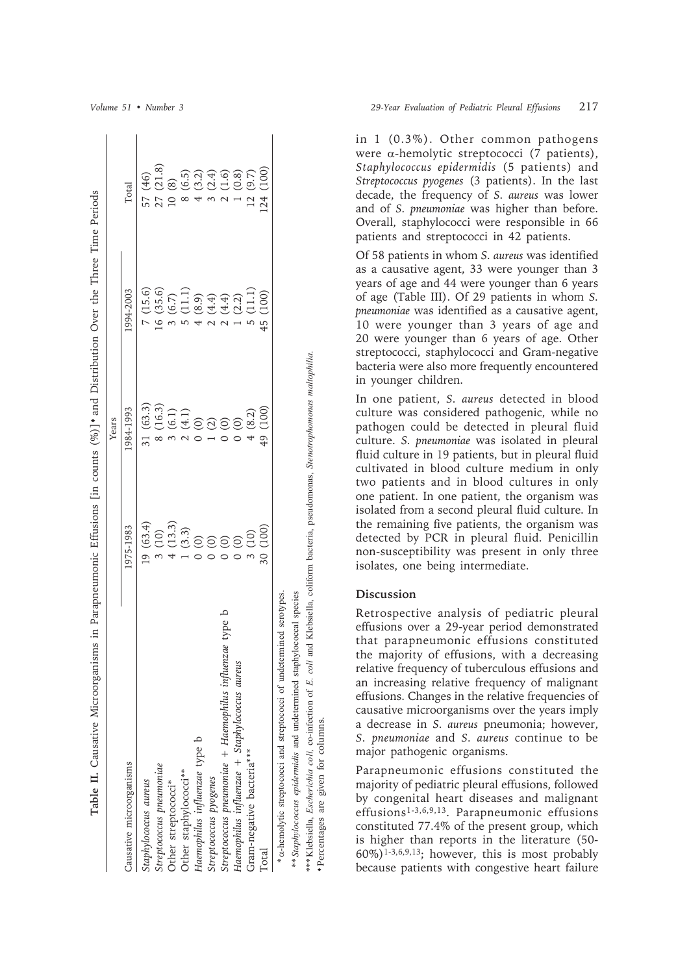|                                                             |                               | Years              |                                                      |                         |
|-------------------------------------------------------------|-------------------------------|--------------------|------------------------------------------------------|-------------------------|
| Causative microorganisms                                    | 1975-1983                     | 1984-1993          | 1994-2003                                            | Total                   |
| Staphylococcus aureus                                       | 19(63.4)                      | 31(63.3)           | 7(15.6)                                              | 57 (46)                 |
| Streptococcus pneumoniae                                    | (10)<br>$\tilde{\mathcal{E}}$ | (16.3)             | 16(35.6)                                             | 27(21.8)                |
| Other streptococci*                                         | (13.3)                        |                    | (6.7)                                                | $\circledS$             |
| Other staphylococci**                                       |                               |                    |                                                      | (6.5)                   |
| Haemophilus influenzae type b                               | $(3.3)$<br>$(5.6)$            | (11)<br>영군 © Q © © | 5 (11.1)<br>4 (8.9)<br>4 (4.4)<br>2 (4.4)<br>1 (2.2) | (3.2)                   |
| Streptococcus pyogenes                                      |                               |                    |                                                      |                         |
| type b<br>Streptococcus pneumoniae + Haemophilus influenzae |                               |                    |                                                      | $(2.4)$<br>$(1.6)$      |
| Haemophilus influenzae + Staphylococcus aureus              | $\odot$                       |                    |                                                      | (0.8)                   |
| Gram-negative bacteria***                                   |                               | (8.2)              | (11.1)                                               | (9.7)<br>$\overline{C}$ |
| Total                                                       | 30 (100)                      | (100)<br>49 '      | 45 (100)                                             | 124 (100                |

Table II. Causative Microorganisms in Parapneumonic Effusions [in counts (%)] and Distribution Over the Three Time Periods

\*\*\*\* Klebsiella, *Escherichia coli*, co-infection of *E. coli* and Klebsiella, coliform bacteria, pseudomonas, *Stenotrophomonas maltophilia*.<br>\* Percentages are given for columns. coli and Klebsiella, coliform bacteria, pseudomonas, Stenotrophomonas maltophilia \*\* *Staphylococcus epidermidis* and undetermined staphylococcal species tapny lococcal \*\*\* Klebsiella, Escherichia coli, co-infection of E. Percentages are given for columns.

*Volume 51 • Number 3 29-Year Evaluation of Pediatric Pleural Effusions* 217

in 1 (0.3%). Other common pathogens were α-hemolytic streptococci (7 patients), *Staphylococcus epidermidis* (5 patients) and *Streptococcus pyogenes* (3 patients). In the last decade, the frequency of *S. aureus* was lower and of *S. pneumoniae* was higher than before. Overall, staphylococci were responsible in 66 patients and streptococci in 42 patients.

Of 58 patients in whom *S. aureus* was identified as a causative agent, 33 were younger than 3 years of age and 44 were younger than 6 years of age (Table III). Of 29 patients in whom *S. pneumoniae* was identified as a causative agent, 10 were younger than 3 years of age and 20 were younger than 6 years of age. Other streptococci, staphylococci and Gram-negative bacteria were also more frequently encountered in younger children.

In one patient, *S. aureus* detected in blood culture was considered pathogenic, while no pathogen could be detected in pleural fluid culture. *S. pneumoniae* was isolated in pleural fluid culture in 19 patients, but in pleural fluid cultivated in blood culture medium in only two patients and in blood cultures in only one patient. In one patient, the organism was isolated from a second pleural fluid culture. In the remaining five patients, the organism was detected by PCR in pleural fluid. Penicillin non-susceptibility was present in only three isolates, one being intermediate.

## **Discussion**

Retrospective analysis of pediatric pleural effusions over a 29-year period demonstrated that parapneumonic effusions constituted the majority of effusions, with a decreasing relative frequency of tuberculous effusions and an increasing relative frequency of malignant effusions. Changes in the relative frequencies of causative microorganisms over the years imply a decrease in *S. aureus* pneumonia; however, *S. pneumoniae* and *S. aureus* continue to be major pathogenic organisms.

Parapneumonic effusions constituted the majority of pediatric pleural effusions, followed by congenital heart diseases and malignant effusions1-3,6,9,13. Parapneumonic effusions constituted 77.4% of the present group, which is higher than reports in the literature (50-  $60\%)$ <sup>1-3,6,9,13</sup>; however, this is most probably because patients with congestive heart failure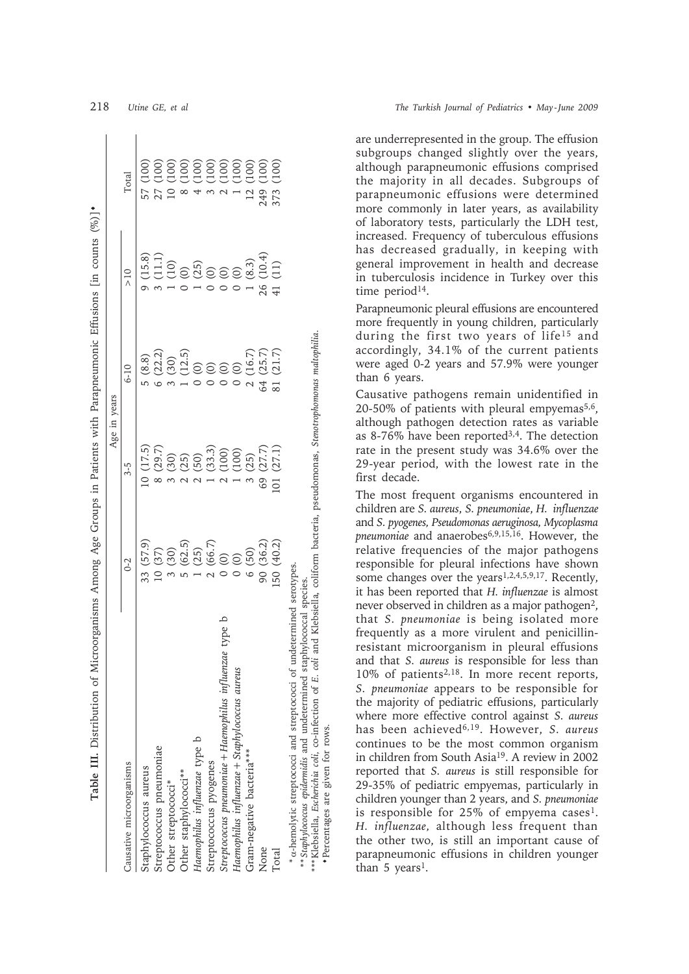|                                                                                                                                                                                                                                                                                              |                                                 | Age in years                   |                             |                                                                |                           |
|----------------------------------------------------------------------------------------------------------------------------------------------------------------------------------------------------------------------------------------------------------------------------------------------|-------------------------------------------------|--------------------------------|-----------------------------|----------------------------------------------------------------|---------------------------|
| Causative microorganisms                                                                                                                                                                                                                                                                     | $0-2$                                           | 3-5                            | $6 - 10$                    | $\geqslant$                                                    | Total                     |
| Staphylococcus aureus                                                                                                                                                                                                                                                                        | 33 (57.9)                                       | (17.5)                         | 5(8.8)                      | (15.8)                                                         | (100)                     |
| Streptococcus pneumoniae                                                                                                                                                                                                                                                                     | 10(37)                                          | (29.7)                         | 6(22.2)                     |                                                                |                           |
| Other streptococci*                                                                                                                                                                                                                                                                          |                                                 | (30)                           |                             |                                                                |                           |
| Other staphylococci**                                                                                                                                                                                                                                                                        |                                                 |                                |                             |                                                                |                           |
| Haemophilus influenzae type b                                                                                                                                                                                                                                                                |                                                 | $(25)$<br>$(50)$               |                             |                                                                |                           |
| Streptococcus pyogenes                                                                                                                                                                                                                                                                       | 3 (30)<br>5 (62.5)<br>1 (25)<br>1 (66.7)<br>(0) |                                | $(30)$<br>$(12.5)$<br>$(0)$ | $(1.1)$<br>$(1.0)$<br>$(1.0)$<br>$(0.0)$<br>$(0.0)$<br>$(0.0)$ | 6666666<br>Sassa<br>Sassa |
| type<br>Streptococcus pneumoniae + Haemophilus influenzae                                                                                                                                                                                                                                    |                                                 | $\overline{\mathcal{C}}$       | $\odot$                     |                                                                |                           |
| Haemophilus influenzae + Staphylococcus aureus                                                                                                                                                                                                                                               | $\widehat{\odot}$                               | $(33.3)$<br>$(100)$<br>$(100)$ | $\widehat{\odot}$           |                                                                |                           |
| Gram-negative bacteria***                                                                                                                                                                                                                                                                    | (50)                                            | (25)                           | (16.7)                      | (8.3)                                                          | 100                       |
| None                                                                                                                                                                                                                                                                                         | 90 (36.2)                                       | (27.7)<br>69                   | (25.7)<br>ժ<br>4            | (10.4)                                                         | (001)<br>249              |
| Total                                                                                                                                                                                                                                                                                        | 50(40.2)                                        | (27.1)                         | (21.7)                      | (11)                                                           | (001)<br>373              |
| **** Klebsiella, Escherichia coli, co-infection of E. coli and Klebsiella, coliform bacteria, pseudomonas, Stenotrophomonas maltophilia.<br>* a-hemolytic streptococci and streptococci of undetermined serotypes.<br>** Staphylococcus epidermidis and undetermined staphylococcal species. |                                                 |                                |                             |                                                                |                           |

· Percentages are given

are underrepresented in the group. The effusion subgroups changed slightly over the years, although parapneumonic effusions comprised the majority in all decades. Subgroups of parapneumonic effusions were determined more commonly in later years, as availability of laboratory tests, particularly the LDH test, increased. Frequency of tuberculous effusions has decreased gradually, in keeping with general improvement in health and decrease in tuberculosis incidence in Turkey over this

Parapneumonic pleural effusions are encountered more frequently in young children, particularly during the first two years of life<sup>15</sup> and accordingly, 34.1% of the current patients were aged 0-2 years and 57.9% were younger than 6 years.

time period<sup>14</sup>.

218 *Utine GE, et al The Turkish Journal of Pediatrics • May - June 2009*

Causative pathogens remain unidentified in 20-50% of patients with pleural empyemas<sup>5,6</sup>, although pathogen detection rates as variable as 8-76% have been reported<sup>3,4</sup>. The detection rate in the present study was 34.6% over the 29-year period, with the lowest rate in the first decade.

The most frequent organisms encountered in children are *S. aureus*, *S. pneumoniae*, *H. influenzae* and *S. pyogenes, Pseudomonas aeruginosa, Mycoplasma*  pneumoniae and anaerobes<sup>6,9,15,16</sup>. However, the relative frequencies of the major pathogens responsible for pleural infections have shown some changes over the years<sup>1,2,4,5,9,17</sup>. Recently, it has been reported that *H. influenzae* is almost never observed in children as a major pathogen2, that *S. pneumoniae* is being isolated more frequently as a more virulent and penicillinresistant microorganism in pleural effusions and that *S. aureus* is responsible for less than 10% of patients<sup>2,18</sup>. In more recent reports, *S. pneumoniae* appears to be responsible for the majority of pediatric effusions, particularly where more effective control against *S. aureus* has been achieved6,19. However, *S. aureus* continues to be the most common organism in children from South Asia19. A review in 2002 reported that *S. aureus* is still responsible for 29-35% of pediatric empyemas, particularly in children younger than 2 years, and *S. pneumoniae* is responsible for  $25\%$  of empyema cases<sup>1</sup>. *H. influenzae,* although less frequent than the other two, is still an important cause of parapneumonic effusions in children younger than  $5$  years<sup>1</sup>.